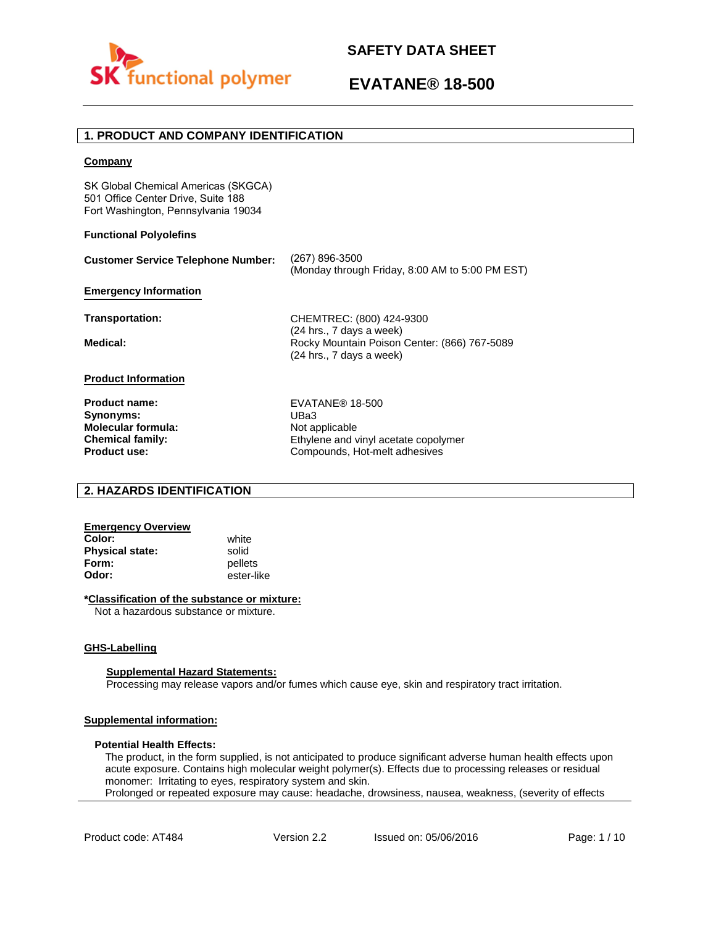

# **1. PRODUCT AND COMPANY IDENTIFICATION**

## **Company**

SK Global Chemical Americas (SKGCA) 501 Office Center Drive, Suite 188 Fort Washington, Pennsylvania 19034

# **Functional Polyolefins**

| <b>Customer Service Telephone Number:</b>                         | (267) 896-3500<br>(Monday through Friday, 8:00 AM to 5:00 PM EST)                                    |
|-------------------------------------------------------------------|------------------------------------------------------------------------------------------------------|
| <b>Emergency Information</b>                                      |                                                                                                      |
| Transportation:                                                   | CHEMTREC: (800) 424-9300                                                                             |
| Medical:                                                          | (24 hrs., 7 days a week)<br>Rocky Mountain Poison Center: (866) 767-5089<br>(24 hrs., 7 days a week) |
| <b>Product Information</b>                                        |                                                                                                      |
| <b>Product name:</b>                                              | EVATANE <sup>®</sup> 18-500<br>UBa3                                                                  |
| Synonyms:<br><b>Molecular formula:</b><br><b>Chemical family:</b> | Not applicable<br>Ethylene and vinyl acetate copolymer                                               |

# **2. HAZARDS IDENTIFICATION**

# **Emergency Overview**

**Color:** white **Physical state:** solid<br> **Form:** nellet **Form:** pellets<br> **Odor:** ester-li

**Product use:**

**Odor:** ester-like

### **\*Classification of the substance or mixture:**

Not a hazardous substance or mixture.

### **GHS-Labelling**

### **Supplemental Hazard Statements:**

Processing may release vapors and/or fumes which cause eye, skin and respiratory tract irritation.

# **Supplemental information:**

### **Potential Health Effects:**

The product, in the form supplied, is not anticipated to produce significant adverse human health effects upon acute exposure. Contains high molecular weight polymer(s). Effects due to processing releases or residual monomer: Irritating to eyes, respiratory system and skin. Prolonged or repeated exposure may cause: headache, drowsiness, nausea, weakness, (severity of effects

Ethylene and vinyl acetate copolymer Compounds, Hot-melt adhesives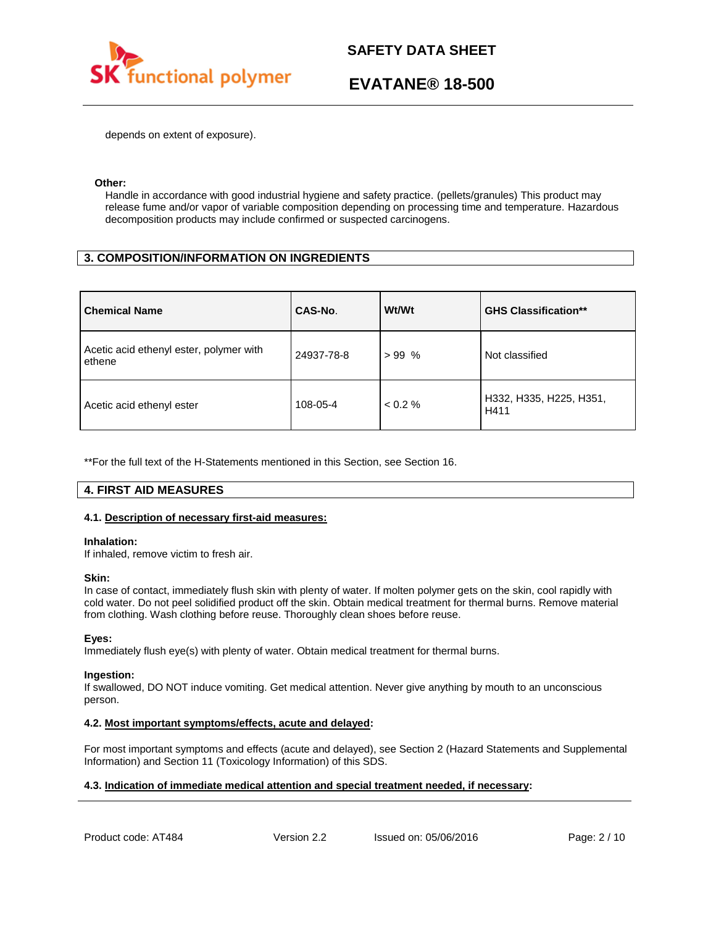

depends on extent of exposure).

### **Other:**

Handle in accordance with good industrial hygiene and safety practice. (pellets/granules) This product may release fume and/or vapor of variable composition depending on processing time and temperature. Hazardous decomposition products may include confirmed or suspected carcinogens.

# **3. COMPOSITION/INFORMATION ON INGREDIENTS**

| <b>Chemical Name</b>                              | CAS-No.    | Wt/Wt   | <b>GHS Classification**</b>     |
|---------------------------------------------------|------------|---------|---------------------------------|
| Acetic acid ethenyl ester, polymer with<br>ethene | 24937-78-8 | $>99\%$ | Not classified                  |
| Acetic acid ethenyl ester                         | 108-05-4   | < 0.2 % | H332, H335, H225, H351,<br>H411 |

\*\*For the full text of the H-Statements mentioned in this Section, see Section 16.

# **4. FIRST AID MEASURES**

# **4.1. Description of necessary first-aid measures:**

### **Inhalation:**

If inhaled, remove victim to fresh air.

### **Skin:**

In case of contact, immediately flush skin with plenty of water. If molten polymer gets on the skin, cool rapidly with cold water. Do not peel solidified product off the skin. Obtain medical treatment for thermal burns. Remove material from clothing. Wash clothing before reuse. Thoroughly clean shoes before reuse.

# **Eyes:**

Immediately flush eye(s) with plenty of water. Obtain medical treatment for thermal burns.

### **Ingestion:**

If swallowed, DO NOT induce vomiting. Get medical attention. Never give anything by mouth to an unconscious person.

# **4.2. Most important symptoms/effects, acute and delayed:**

For most important symptoms and effects (acute and delayed), see Section 2 (Hazard Statements and Supplemental Information) and Section 11 (Toxicology Information) of this SDS.

# **4.3. Indication of immediate medical attention and special treatment needed, if necessary:**

Product code: AT484 Version 2.2 Issued on: 05/06/2016 Page: 2/10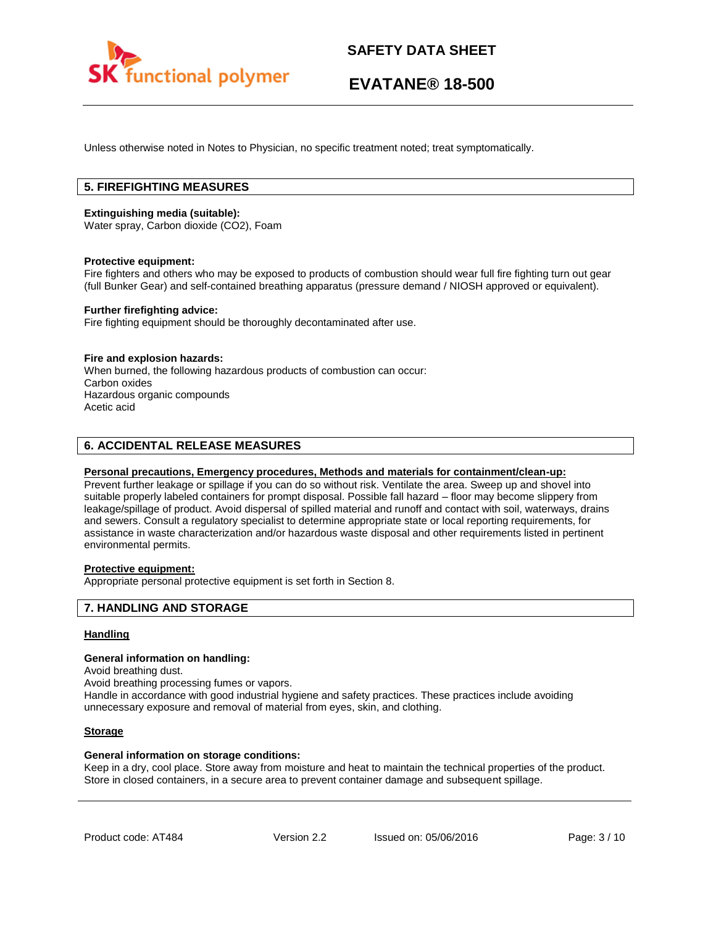

Unless otherwise noted in Notes to Physician, no specific treatment noted; treat symptomatically.

# **5. FIREFIGHTING MEASURES**

### **Extinguishing media (suitable):**

Water spray, Carbon dioxide (CO2), Foam

### **Protective equipment:**

Fire fighters and others who may be exposed to products of combustion should wear full fire fighting turn out gear (full Bunker Gear) and self-contained breathing apparatus (pressure demand / NIOSH approved or equivalent).

### **Further firefighting advice:**

Fire fighting equipment should be thoroughly decontaminated after use.

### **Fire and explosion hazards:**

When burned, the following hazardous products of combustion can occur: Carbon oxides Hazardous organic compounds Acetic acid

# **6. ACCIDENTAL RELEASE MEASURES**

## **Personal precautions, Emergency procedures, Methods and materials for containment/clean-up:**

Prevent further leakage or spillage if you can do so without risk. Ventilate the area. Sweep up and shovel into suitable properly labeled containers for prompt disposal. Possible fall hazard – floor may become slippery from leakage/spillage of product. Avoid dispersal of spilled material and runoff and contact with soil, waterways, drains and sewers. Consult a regulatory specialist to determine appropriate state or local reporting requirements, for assistance in waste characterization and/or hazardous waste disposal and other requirements listed in pertinent environmental permits.

# **Protective equipment:**

Appropriate personal protective equipment is set forth in Section 8.

# **7. HANDLING AND STORAGE**

## **Handling**

#### **General information on handling:**

Avoid breathing dust.

Avoid breathing processing fumes or vapors.

Handle in accordance with good industrial hygiene and safety practices. These practices include avoiding unnecessary exposure and removal of material from eyes, skin, and clothing.

### **Storage**

### **General information on storage conditions:**

Keep in a dry, cool place. Store away from moisture and heat to maintain the technical properties of the product. Store in closed containers, in a secure area to prevent container damage and subsequent spillage.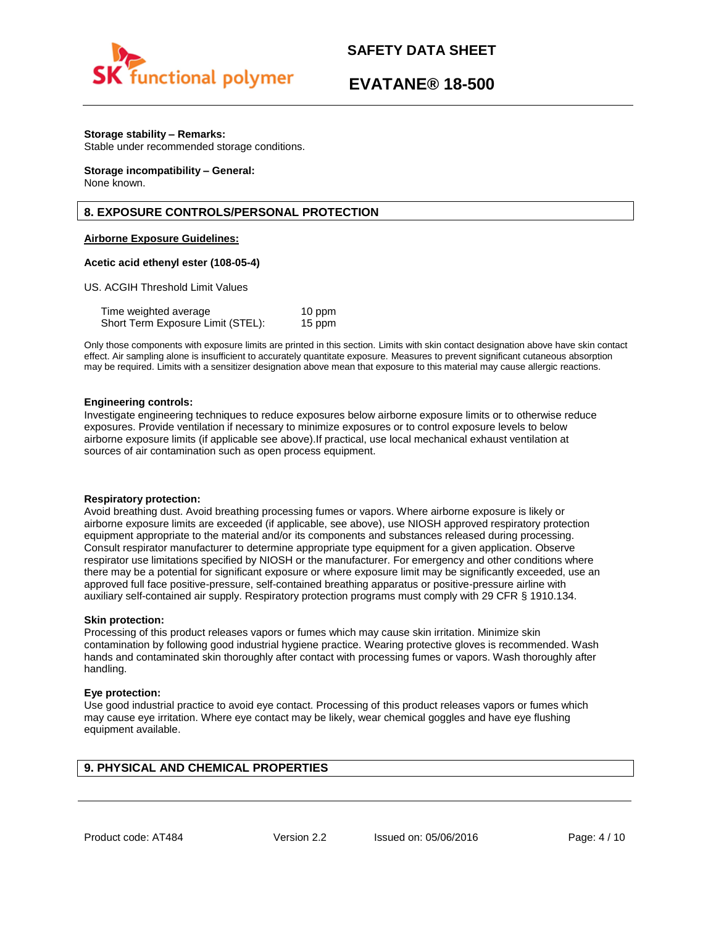

# **EVATANE® 18-500**

## **Storage stability – Remarks:**

Stable under recommended storage conditions.

#### **Storage incompatibility – General:**  None known.

# **8. EXPOSURE CONTROLS/PERSONAL PROTECTION**

## **Airborne Exposure Guidelines:**

### **Acetic acid ethenyl ester (108-05-4)**

US. ACGIH Threshold Limit Values

| Time weighted average             | 10 ppm |
|-----------------------------------|--------|
| Short Term Exposure Limit (STEL): | 15 ppm |

Only those components with exposure limits are printed in this section. Limits with skin contact designation above have skin contact effect. Air sampling alone is insufficient to accurately quantitate exposure. Measures to prevent significant cutaneous absorption may be required. Limits with a sensitizer designation above mean that exposure to this material may cause allergic reactions.

### **Engineering controls:**

Investigate engineering techniques to reduce exposures below airborne exposure limits or to otherwise reduce exposures. Provide ventilation if necessary to minimize exposures or to control exposure levels to below airborne exposure limits (if applicable see above).If practical, use local mechanical exhaust ventilation at sources of air contamination such as open process equipment.

### **Respiratory protection:**

Avoid breathing dust. Avoid breathing processing fumes or vapors. Where airborne exposure is likely or airborne exposure limits are exceeded (if applicable, see above), use NIOSH approved respiratory protection equipment appropriate to the material and/or its components and substances released during processing. Consult respirator manufacturer to determine appropriate type equipment for a given application. Observe respirator use limitations specified by NIOSH or the manufacturer. For emergency and other conditions where there may be a potential for significant exposure or where exposure limit may be significantly exceeded, use an approved full face positive-pressure, self-contained breathing apparatus or positive-pressure airline with auxiliary self-contained air supply. Respiratory protection programs must comply with 29 CFR § 1910.134.

### **Skin protection:**

Processing of this product releases vapors or fumes which may cause skin irritation. Minimize skin contamination by following good industrial hygiene practice. Wearing protective gloves is recommended. Wash hands and contaminated skin thoroughly after contact with processing fumes or vapors. Wash thoroughly after handling.

### **Eye protection:**

Use good industrial practice to avoid eye contact. Processing of this product releases vapors or fumes which may cause eye irritation. Where eye contact may be likely, wear chemical goggles and have eye flushing equipment available.

# **9. PHYSICAL AND CHEMICAL PROPERTIES**

Product code: AT484 Version 2.2 Issued on: 05/06/2016 Page: 4/10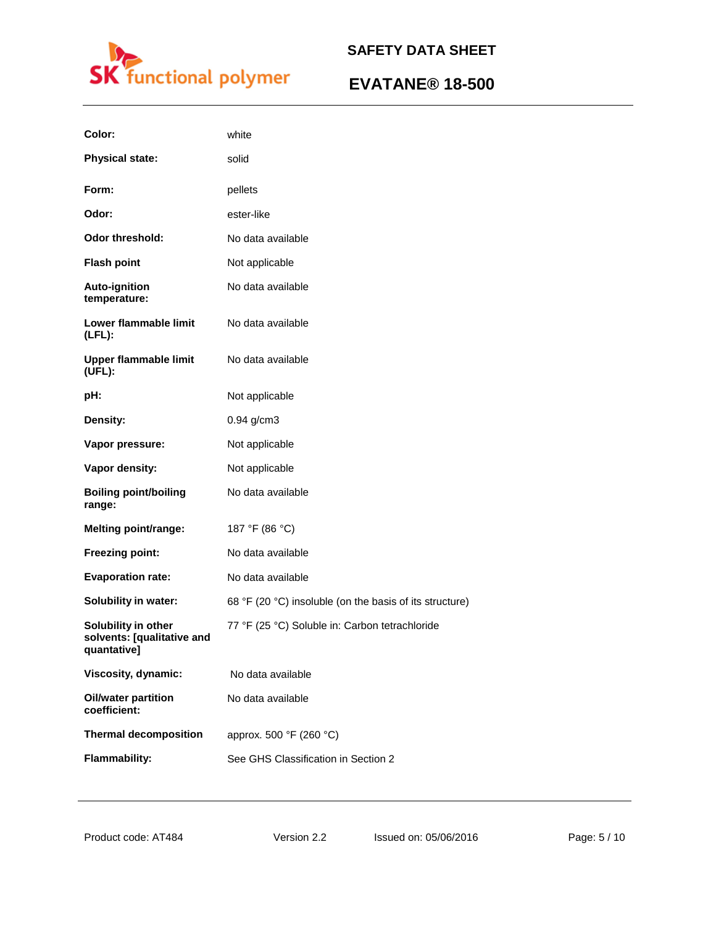

| Color:                                                           | white                                                   |
|------------------------------------------------------------------|---------------------------------------------------------|
| <b>Physical state:</b>                                           | solid                                                   |
| Form:                                                            | pellets                                                 |
| Odor:                                                            | ester-like                                              |
| <b>Odor threshold:</b>                                           | No data available                                       |
| <b>Flash point</b>                                               | Not applicable                                          |
| <b>Auto-ignition</b><br>temperature:                             | No data available                                       |
| Lower flammable limit<br>$(LFL)$ :                               | No data available                                       |
| <b>Upper flammable limit</b><br>(UEL):                           | No data available                                       |
| pH:                                                              | Not applicable                                          |
| Density:                                                         | 0.94 g/cm3                                              |
| Vapor pressure:                                                  | Not applicable                                          |
| Vapor density:                                                   | Not applicable                                          |
| <b>Boiling point/boiling</b><br>range:                           | No data available                                       |
| <b>Melting point/range:</b>                                      | 187 °F (86 °C)                                          |
| Freezing point:                                                  | No data available                                       |
| <b>Evaporation rate:</b>                                         | No data available                                       |
| <b>Solubility in water:</b>                                      | 68 °F (20 °C) insoluble (on the basis of its structure) |
| Solubility in other<br>solvents: [qualitative and<br>quantative] | 77 °F (25 °C) Soluble in: Carbon tetrachloride          |
| Viscosity, dynamic:                                              | No data available                                       |
| <b>Oil/water partition</b><br>coefficient:                       | No data available                                       |
| <b>Thermal decomposition</b>                                     | approx. 500 °F (260 °C)                                 |
| <b>Flammability:</b>                                             | See GHS Classification in Section 2                     |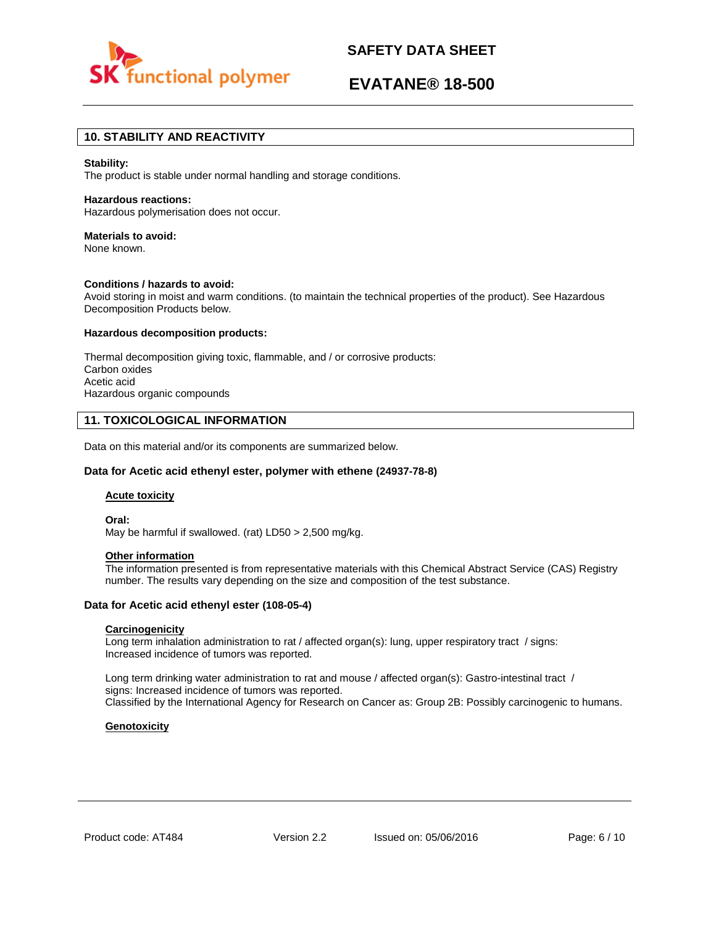

# **EVATANE® 18-500**

# **10. STABILITY AND REACTIVITY**

#### **Stability:**

The product is stable under normal handling and storage conditions.

### **Hazardous reactions:**

Hazardous polymerisation does not occur.

# **Materials to avoid:**

None known.

## **Conditions / hazards to avoid:**

Avoid storing in moist and warm conditions. (to maintain the technical properties of the product). See Hazardous Decomposition Products below.

### **Hazardous decomposition products:**

Thermal decomposition giving toxic, flammable, and / or corrosive products: Carbon oxides Acetic acid Hazardous organic compounds

# **11. TOXICOLOGICAL INFORMATION**

Data on this material and/or its components are summarized below.

### **Data for Acetic acid ethenyl ester, polymer with ethene (24937-78-8)**

### **Acute toxicity**

**Oral:**

May be harmful if swallowed. (rat) LD50 > 2,500 mg/kg.

# **Other information**

The information presented is from representative materials with this Chemical Abstract Service (CAS) Registry number. The results vary depending on the size and composition of the test substance.

### **Data for Acetic acid ethenyl ester (108-05-4)**

# **Carcinogenicity**

Long term inhalation administration to rat / affected organ(s): lung, upper respiratory tract / signs: Increased incidence of tumors was reported.

Long term drinking water administration to rat and mouse / affected organ(s): Gastro-intestinal tract / signs: Increased incidence of tumors was reported. Classified by the International Agency for Research on Cancer as: Group 2B: Possibly carcinogenic to humans.

# **Genotoxicity**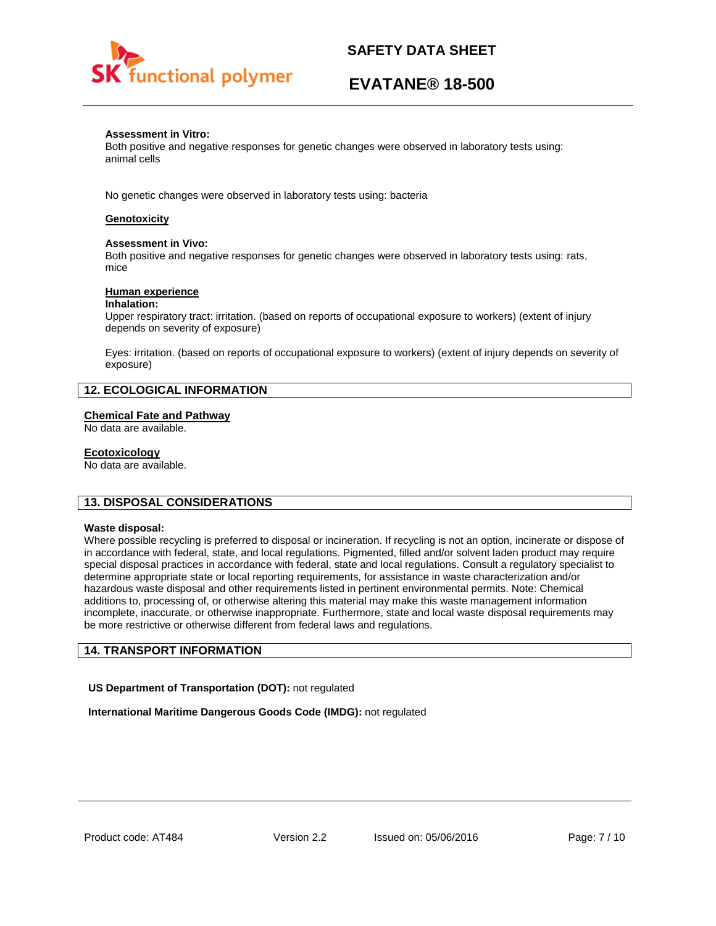

# **EVATANE® 18-500**

## **Assessment in Vitro:**

Both positive and negative responses for genetic changes were observed in laboratory tests using: animal cells

No genetic changes were observed in laboratory tests using: bacteria

# **Genotoxicity**

### **Assessment in Vivo:**

Both positive and negative responses for genetic changes were observed in laboratory tests using: rats, mice

### **Human experience**

### **Inhalation:**

Upper respiratory tract: irritation. (based on reports of occupational exposure to workers) (extent of injury depends on severity of exposure)

Eyes: irritation. (based on reports of occupational exposure to workers) (extent of injury depends on severity of exposure)

# **12. ECOLOGICAL INFORMATION**

## **Chemical Fate and Pathway**

No data are available.

### **Ecotoxicology**

No data are available.

# **13. DISPOSAL CONSIDERATIONS**

### **Waste disposal:**

Where possible recycling is preferred to disposal or incineration. If recycling is not an option, incinerate or dispose of in accordance with federal, state, and local regulations. Pigmented, filled and/or solvent laden product may require special disposal practices in accordance with federal, state and local regulations. Consult a regulatory specialist to determine appropriate state or local reporting requirements, for assistance in waste characterization and/or hazardous waste disposal and other requirements listed in pertinent environmental permits. Note: Chemical additions to, processing of, or otherwise altering this material may make this waste management information incomplete, inaccurate, or otherwise inappropriate. Furthermore, state and local waste disposal requirements may be more restrictive or otherwise different from federal laws and regulations.

# **14. TRANSPORT INFORMATION**

**US Department of Transportation (DOT):** not regulated

**International Maritime Dangerous Goods Code (IMDG):** not regulated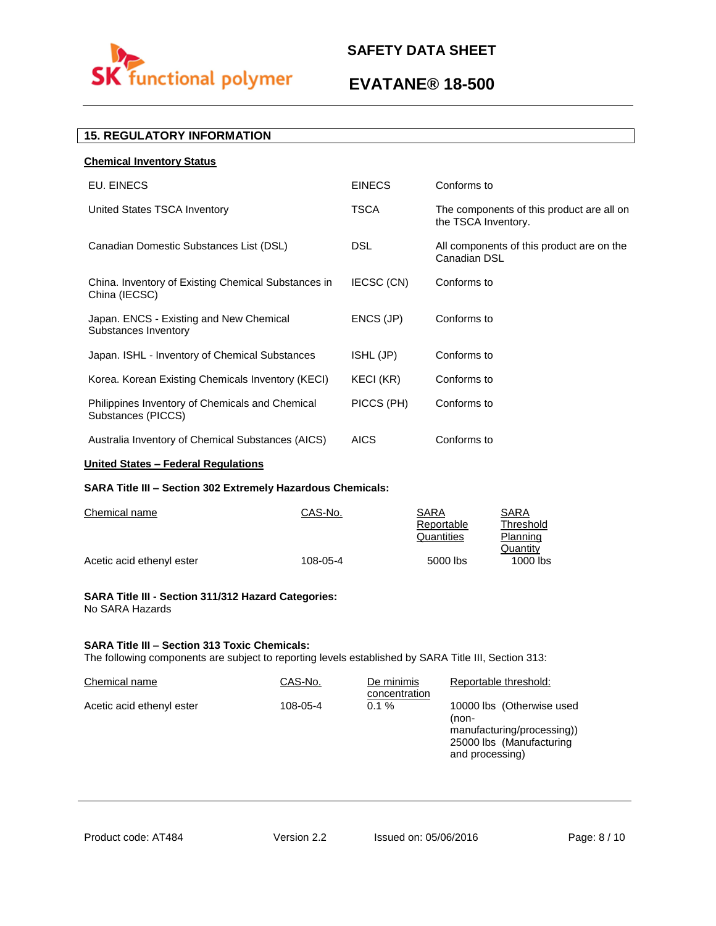

# **EVATANE® 18-500**

# **15. REGULATORY INFORMATION**

| <b>Chemical Inventory Status</b>                                      |               |                                                                  |
|-----------------------------------------------------------------------|---------------|------------------------------------------------------------------|
| EU. EINECS                                                            | <b>EINECS</b> | Conforms to                                                      |
| United States TSCA Inventory                                          | <b>TSCA</b>   | The components of this product are all on<br>the TSCA Inventory. |
| Canadian Domestic Substances List (DSL)                               | DSL.          | All components of this product are on the<br>Canadian DSL        |
| China. Inventory of Existing Chemical Substances in<br>China (IECSC)  | IECSC (CN)    | Conforms to                                                      |
| Japan. ENCS - Existing and New Chemical<br>Substances Inventory       | ENCS (JP)     | Conforms to                                                      |
| Japan. ISHL - Inventory of Chemical Substances                        | ISHL (JP)     | Conforms to                                                      |
| Korea. Korean Existing Chemicals Inventory (KECI)                     | KECI (KR)     | Conforms to                                                      |
| Philippines Inventory of Chemicals and Chemical<br>Substances (PICCS) | PICCS (PH)    | Conforms to                                                      |
| Australia Inventory of Chemical Substances (AICS)                     | <b>AICS</b>   | Conforms to                                                      |
|                                                                       |               |                                                                  |

# **United States – Federal Regulations**

# **SARA Title III – Section 302 Extremely Hazardous Chemicals:**

| Chemical name             | CAS-No.  | SARA       | SARA       |
|---------------------------|----------|------------|------------|
|                           |          | Reportable | Threshold  |
|                           |          | Quantities | Planning   |
|                           |          |            | Quantity   |
| Acetic acid ethenyl ester | 108-05-4 | 5000 lbs   | $1000$ lbs |

### **SARA Title III - Section 311/312 Hazard Categories:**  No SARA Hazards

# **SARA Title III – Section 313 Toxic Chemicals:**

The following components are subject to reporting levels established by SARA Title III, Section 313:

| Chemical name             | CAS-No.  | De minimis<br>concentration | Reportable threshold:                                                                                           |
|---------------------------|----------|-----------------------------|-----------------------------------------------------------------------------------------------------------------|
| Acetic acid ethenyl ester | 108-05-4 | $0.1 \%$                    | 10000 lbs (Otherwise used<br>(non-<br>manufacturing/processing))<br>25000 lbs (Manufacturing<br>and processing) |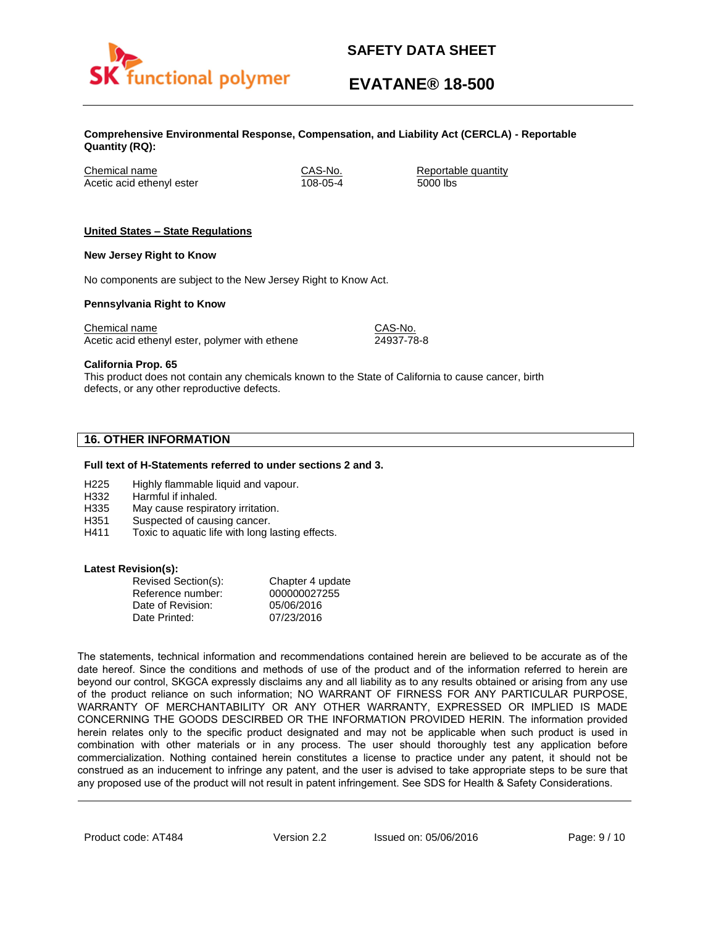

# **EVATANE® 18-500**

**Comprehensive Environmental Response, Compensation, and Liability Act (CERCLA) - Reportable Quantity (RQ):**

Chemical name CAS-No. Reportable quantity Acetic acid ethenyl ester 108-05-4 5000 lbs

# **United States – State Regulations**

### **New Jersey Right to Know**

No components are subject to the New Jersey Right to Know Act.

### **Pennsylvania Right to Know**

Chemical name Chemical name CAS-No. Acetic acid ethenyl ester, polymer with ethene 24937-78-8

**California Prop. 65**

This product does not contain any chemicals known to the State of California to cause cancer, birth defects, or any other reproductive defects.

# **16. OTHER INFORMATION**

### **Full text of H-Statements referred to under sections 2 and 3.**

- H225 Highly flammable liquid and vapour.
- H332 Harmful if inhaled.
- H335 May cause respiratory irritation.
- H351 Suspected of causing cancer.
- H411 Toxic to aquatic life with long lasting effects.

### **Latest Revision(s):**

| Revised Section(s): | Chapter 4 update |
|---------------------|------------------|
| Reference number:   | 000000027255     |
| Date of Revision:   | 05/06/2016       |
| Date Printed:       | 07/23/2016       |

The statements, technical information and recommendations contained herein are believed to be accurate as of the date hereof. Since the conditions and methods of use of the product and of the information referred to herein are beyond our control, SKGCA expressly disclaims any and all liability as to any results obtained or arising from any use of the product reliance on such information; NO WARRANT OF FIRNESS FOR ANY PARTICULAR PURPOSE, WARRANTY OF MERCHANTABILITY OR ANY OTHER WARRANTY, EXPRESSED OR IMPLIED IS MADE CONCERNING THE GOODS DESCIRBED OR THE INFORMATION PROVIDED HERIN. The information provided herein relates only to the specific product designated and may not be applicable when such product is used in combination with other materials or in any process. The user should thoroughly test any application before commercialization. Nothing contained herein constitutes a license to practice under any patent, it should not be construed as an inducement to infringe any patent, and the user is advised to take appropriate steps to be sure that any proposed use of the product will not result in patent infringement. See SDS for Health & Safety Considerations.

Product code: AT484 Version 2.2 Issued on: 05/06/2016 Page: 9/10